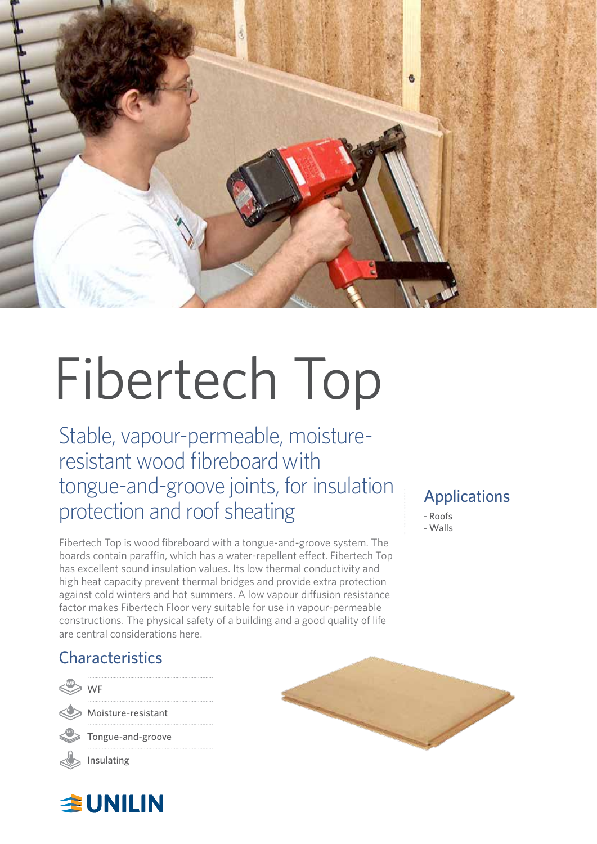

# Fibertech Top

Stable, vapour-permeable, moistureresistant wood fibreboard with tongue-and-groove joints, for insulation protection and roof sheating

Fibertech Top is wood fibreboard with a tongue-and-groove system. The boards contain paraffin, which has a water-repellent effect. Fibertech Top has excellent sound insulation values. Its low thermal conductivity and high heat capacity prevent thermal bridges and provide extra protection against cold winters and hot summers. A low vapour diffusion resistance factor makes Fibertech Floor very suitable for use in vapour-permeable constructions. The physical safety of a building and a good quality of life are central considerations here.

### Applications

- Roofs - Walls

## **Characteristics**